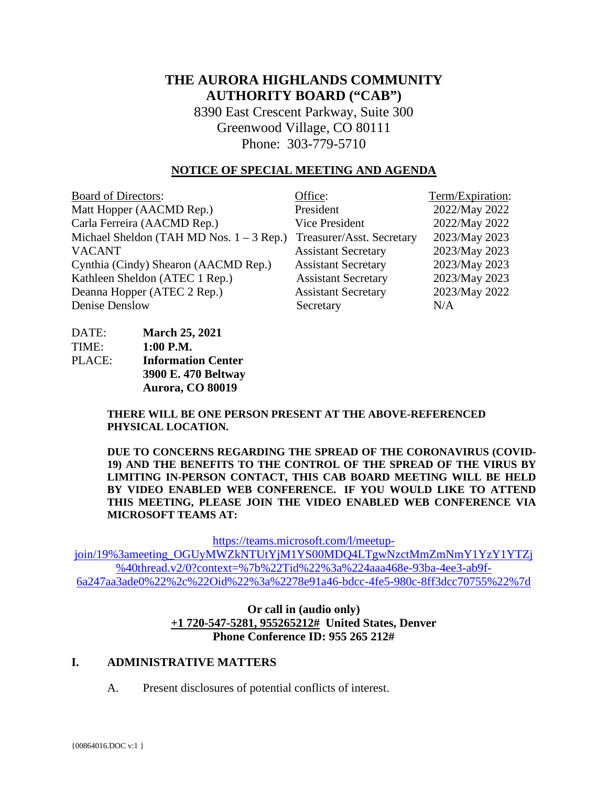# **THE AURORA HIGHLANDS COMMUNITY AUTHORITY BOARD ("CAB")**

8390 East Crescent Parkway, Suite 300 Greenwood Village, CO 80111 Phone: 303-779-5710

#### **NOTICE OF SPECIAL MEETING AND AGENDA**

| <b>Board of Directors:</b>                 | Office:                    | Term/Expiration: |
|--------------------------------------------|----------------------------|------------------|
| Matt Hopper (AACMD Rep.)                   | President                  | 2022/May 2022    |
| Carla Ferreira (AACMD Rep.)                | <b>Vice President</b>      | 2022/May 2022    |
| Michael Sheldon (TAH MD Nos. $1 - 3$ Rep.) | Treasurer/Asst. Secretary  | 2023/May 2023    |
| <b>VACANT</b>                              | <b>Assistant Secretary</b> | 2023/May 2023    |
| Cynthia (Cindy) Shearon (AACMD Rep.)       | <b>Assistant Secretary</b> | 2023/May 2023    |
| Kathleen Sheldon (ATEC 1 Rep.)             | <b>Assistant Secretary</b> | 2023/May 2023    |
| Deanna Hopper (ATEC 2 Rep.)                | <b>Assistant Secretary</b> | 2023/May 2022    |
| Denise Denslow                             | Secretary                  | N/A              |

| DATE:  | <b>March 25, 2021</b>     |
|--------|---------------------------|
| TIME:  | $1:00$ P.M.               |
| PLACE: | <b>Information Center</b> |
|        | 3900 E. 470 Beltway       |
|        | Aurora, CO 80019          |

**THERE WILL BE ONE PERSON PRESENT AT THE ABOVE-REFERENCED PHYSICAL LOCATION.**

**DUE TO CONCERNS REGARDING THE SPREAD OF THE CORONAVIRUS (COVID-19) AND THE BENEFITS TO THE CONTROL OF THE SPREAD OF THE VIRUS BY LIMITING IN-PERSON CONTACT, THIS CAB BOARD MEETING WILL BE HELD BY VIDEO ENABLED WEB CONFERENCE. IF YOU WOULD LIKE TO ATTEND THIS MEETING, PLEASE JOIN THE VIDEO ENABLED WEB CONFERENCE VIA MICROSOFT TEAMS AT:**

[https://teams.microsoft.com/l/meetup-](https://teams.microsoft.com/l/meetup-join/19%3ameeting_OGUyMWZkNTUtYjM1YS00MDQ4LTgwNzctMmZmNmY1YzY1YTZj%40thread.v2/0?context=%7b%22Tid%22%3a%224aaa468e-93ba-4ee3-ab9f-6a247aa3ade0%22%2c%22Oid%22%3a%2278e91a46-bdcc-4fe5-980c-8ff3dcc70755%22%7d)

[join/19%3ameeting\\_OGUyMWZkNTUtYjM1YS00MDQ4LTgwNzctMmZmNmY1YzY1YTZj](https://teams.microsoft.com/l/meetup-join/19%3ameeting_OGUyMWZkNTUtYjM1YS00MDQ4LTgwNzctMmZmNmY1YzY1YTZj%40thread.v2/0?context=%7b%22Tid%22%3a%224aaa468e-93ba-4ee3-ab9f-6a247aa3ade0%22%2c%22Oid%22%3a%2278e91a46-bdcc-4fe5-980c-8ff3dcc70755%22%7d) [%40thread.v2/0?context=%7b%22Tid%22%3a%224aaa468e-93ba-4ee3-ab9f-](https://teams.microsoft.com/l/meetup-join/19%3ameeting_OGUyMWZkNTUtYjM1YS00MDQ4LTgwNzctMmZmNmY1YzY1YTZj%40thread.v2/0?context=%7b%22Tid%22%3a%224aaa468e-93ba-4ee3-ab9f-6a247aa3ade0%22%2c%22Oid%22%3a%2278e91a46-bdcc-4fe5-980c-8ff3dcc70755%22%7d)[6a247aa3ade0%22%2c%22Oid%22%3a%2278e91a46-bdcc-4fe5-980c-8ff3dcc70755%22%7d](https://teams.microsoft.com/l/meetup-join/19%3ameeting_OGUyMWZkNTUtYjM1YS00MDQ4LTgwNzctMmZmNmY1YzY1YTZj%40thread.v2/0?context=%7b%22Tid%22%3a%224aaa468e-93ba-4ee3-ab9f-6a247aa3ade0%22%2c%22Oid%22%3a%2278e91a46-bdcc-4fe5-980c-8ff3dcc70755%22%7d)

#### **Or call in (audio only) [+1 720-547-5281, 955265212#](tel:+17205475281,,955265212#%20) United States, Denver Phone Conference ID: 955 265 212#**

### **I. ADMINISTRATIVE MATTERS**

A. Present disclosures of potential conflicts of interest.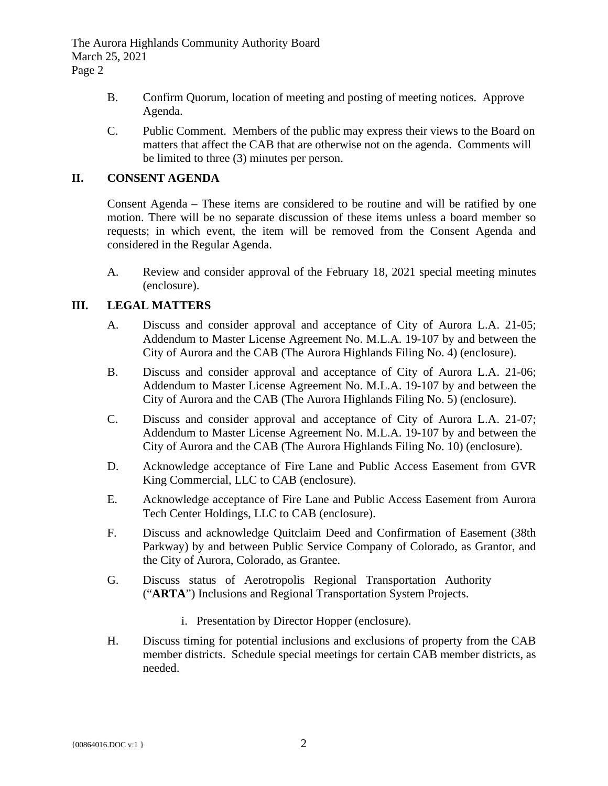The Aurora Highlands Community Authority Board March 25, 2021 Page 2

- B. Confirm Quorum, location of meeting and posting of meeting notices. Approve Agenda.
- C. Public Comment. Members of the public may express their views to the Board on matters that affect the CAB that are otherwise not on the agenda. Comments will be limited to three (3) minutes per person.

# **II. CONSENT AGENDA**

Consent Agenda – These items are considered to be routine and will be ratified by one motion. There will be no separate discussion of these items unless a board member so requests; in which event, the item will be removed from the Consent Agenda and considered in the Regular Agenda.

A. Review and consider approval of the February 18, 2021 special meeting minutes (enclosure).

# **III. LEGAL MATTERS**

- A. Discuss and consider approval and acceptance of City of Aurora L.A. 21-05; Addendum to Master License Agreement No. M.L.A. 19-107 by and between the City of Aurora and the CAB (The Aurora Highlands Filing No. 4) (enclosure).
- B. Discuss and consider approval and acceptance of City of Aurora L.A. 21-06; Addendum to Master License Agreement No. M.L.A. 19-107 by and between the City of Aurora and the CAB (The Aurora Highlands Filing No. 5) (enclosure).
- C. Discuss and consider approval and acceptance of City of Aurora L.A. 21-07; Addendum to Master License Agreement No. M.L.A. 19-107 by and between the City of Aurora and the CAB (The Aurora Highlands Filing No. 10) (enclosure).
- D. Acknowledge acceptance of Fire Lane and Public Access Easement from GVR King Commercial, LLC to CAB (enclosure).
- E. Acknowledge acceptance of Fire Lane and Public Access Easement from Aurora Tech Center Holdings, LLC to CAB (enclosure).
- F. Discuss and acknowledge Quitclaim Deed and Confirmation of Easement (38th Parkway) by and between Public Service Company of Colorado, as Grantor, and the City of Aurora, Colorado, as Grantee.
- G. Discuss status of Aerotropolis Regional Transportation Authority ("**ARTA**") Inclusions and Regional Transportation System Projects.
	- i. Presentation by Director Hopper (enclosure).
- H. Discuss timing for potential inclusions and exclusions of property from the CAB member districts. Schedule special meetings for certain CAB member districts, as needed.